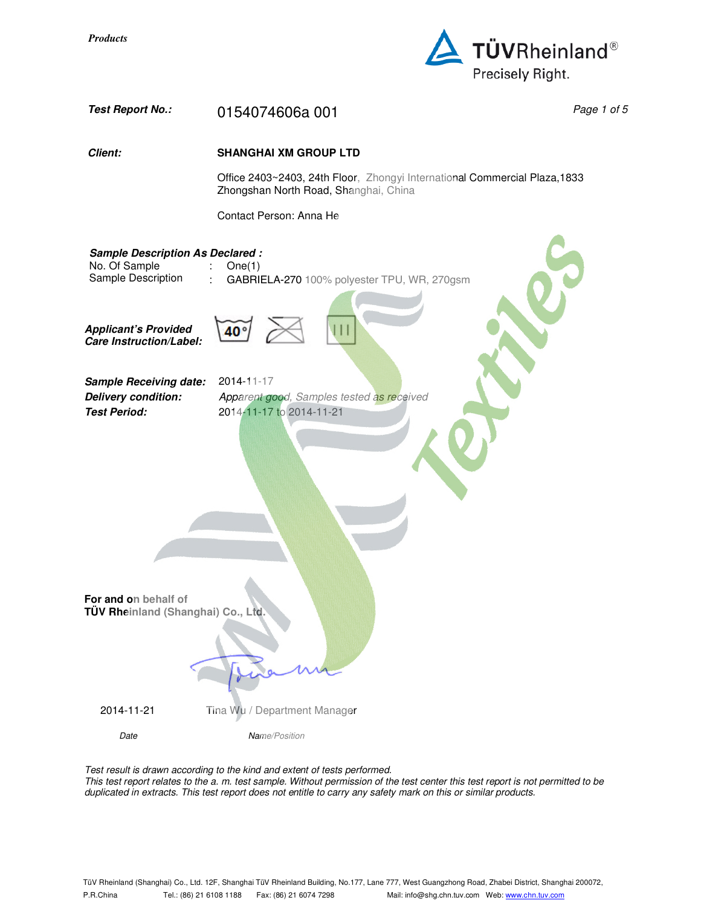



Test result is drawn according to the kind and extent of tests performed. This test report relates to the a. m. test sample. Without permission of the test center this test report is not permitted to be duplicated in extracts. This test report does not entitle to carry any safety mark on this or similar products.

TüV Rheinland (Shanghai) Co., Ltd. 12F, Shanghai TüV Rheinland Building, No.177, Lane 777, West Guangzhong Road, Zhabei District, Shanghai 200072, P.R.China Tel.: (86) 21 6108 1188 Fax: (86) 21 6074 7298 Mail: info@shg.chn.tuv.com Web: www.chn.tuv.com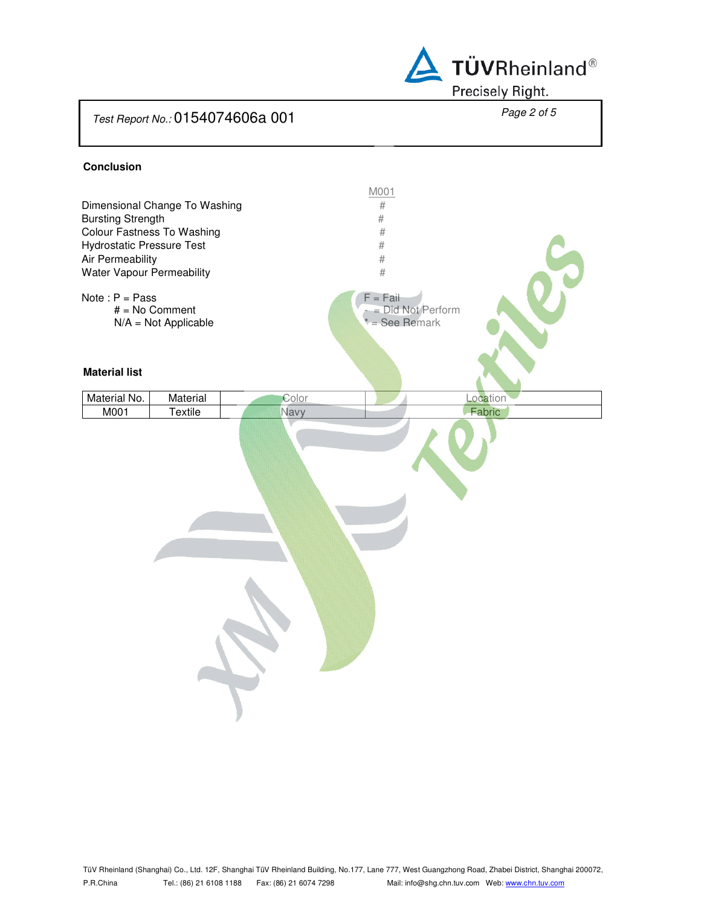

#### **Conclusion**

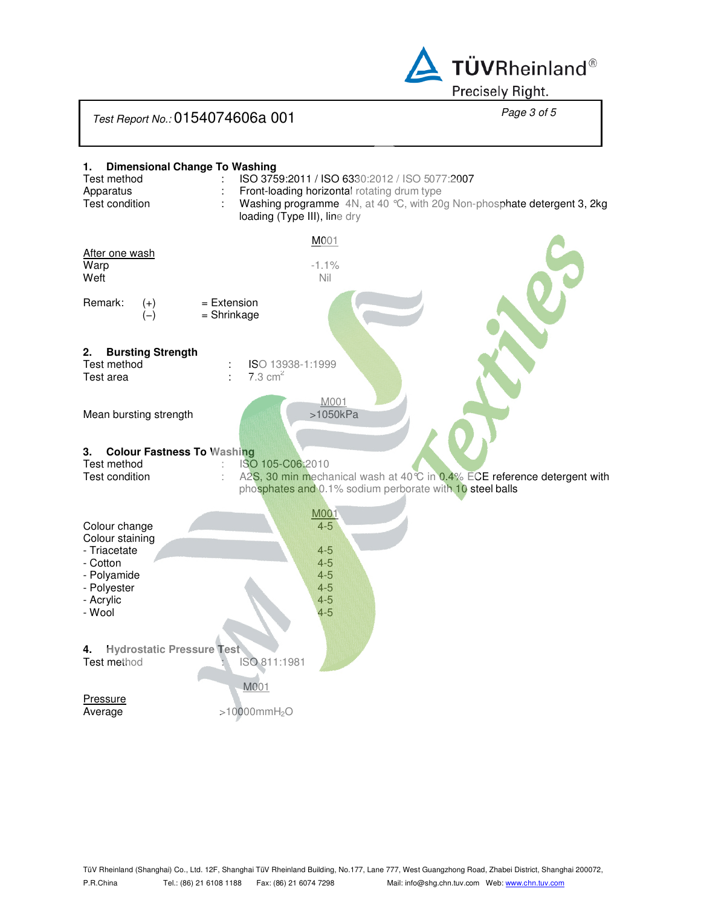

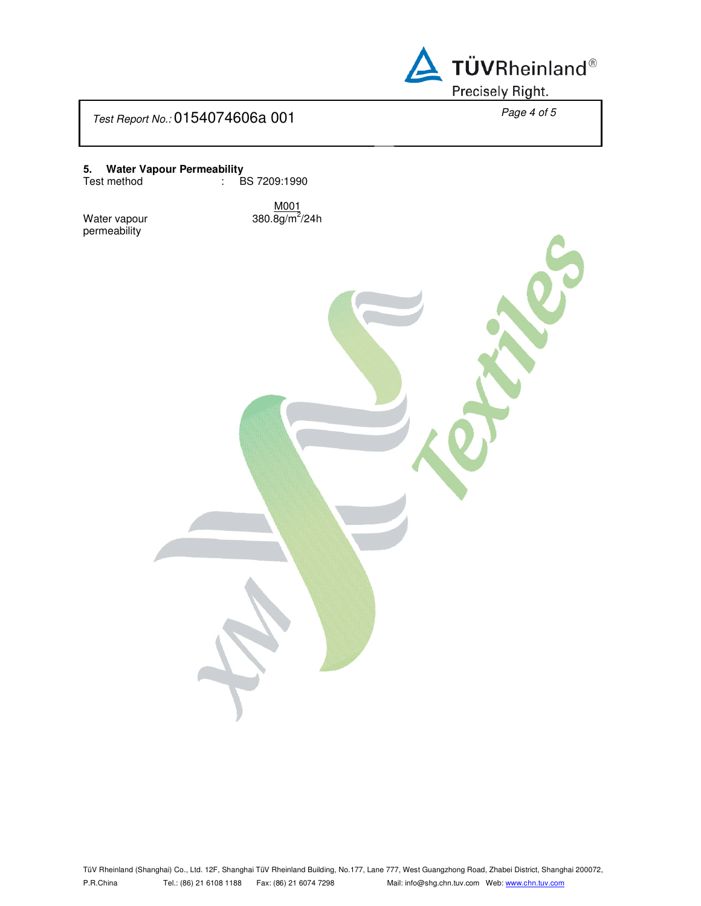

**5. Water Vapour Permeability**

Test method : BS 7209:1990

Water vapour permeability

M001 380.8g/m<sup>2</sup>/24h